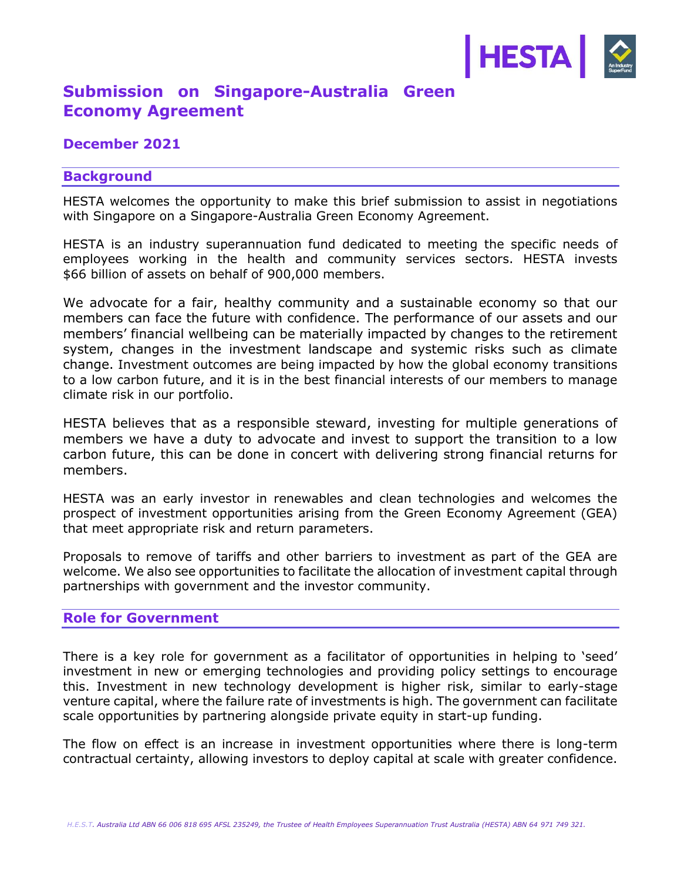

# **Submission on Singapore-Australia Green Economy Agreement**

## **December 2021**

## **Background**

HESTA welcomes the opportunity to make this brief submission to assist in negotiations with Singapore on a Singapore-Australia Green Economy Agreement.

HESTA is an industry superannuation fund dedicated to meeting the specific needs of employees working in the health and community services sectors. HESTA invests \$66 billion of assets on behalf of 900,000 members.

We advocate for a fair, healthy community and a sustainable economy so that our members can face the future with confidence. The performance of our assets and our members' financial wellbeing can be materially impacted by changes to the retirement system, changes in the investment landscape and systemic risks such as climate change. Investment outcomes are being impacted by how the global economy transitions to a low carbon future, and it is in the best financial interests of our members to manage climate risk in our portfolio.

HESTA believes that as a responsible steward, investing for multiple generations of members we have a duty to advocate and invest to support the transition to a low carbon future, this can be done in concert with delivering strong financial returns for members.

HESTA was an early investor in renewables and clean technologies and welcomes the prospect of investment opportunities arising from the Green Economy Agreement (GEA) that meet appropriate risk and return parameters.

Proposals to remove of tariffs and other barriers to investment as part of the GEA are welcome. We also see opportunities to facilitate the allocation of investment capital through partnerships with government and the investor community.

#### **Role for Government**

There is a key role for government as a facilitator of opportunities in helping to 'seed' investment in new or emerging technologies and providing policy settings to encourage this. Investment in new technology development is higher risk, similar to early-stage venture capital, where the failure rate of investments is high. The government can facilitate scale opportunities by partnering alongside private equity in start-up funding.

The flow on effect is an increase in investment opportunities where there is long-term contractual certainty, allowing investors to deploy capital at scale with greater confidence.